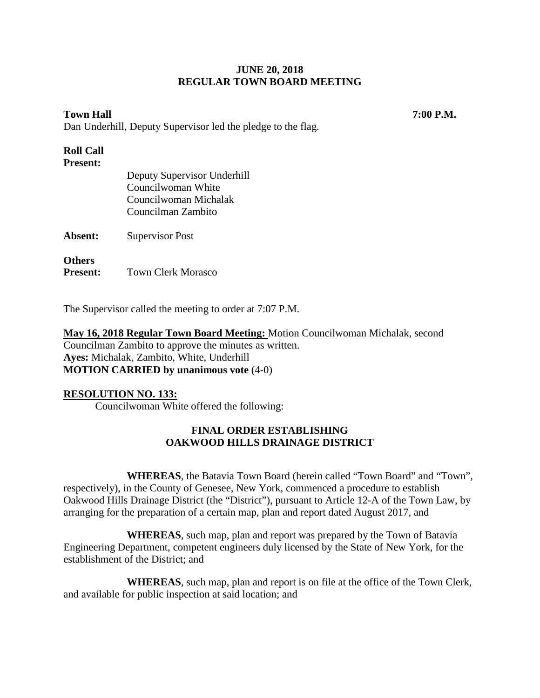# **Town Hall 7:00 P.M.**

Dan Underhill, Deputy Supervisor led the pledge to the flag.

#### **Roll Call Present:**

The Supervisor called the meeting to order at 7:07 P.M.

**May 16, 2018 Regular Town Board Meeting:** Motion Councilwoman Michalak, second Councilman Zambito to approve the minutes as written. **Ayes:** Michalak, Zambito, White, Underhill **MOTION CARRIED by unanimous vote** (4-0)

# **RESOLUTION NO. 133:**

Councilwoman White offered the following:

# **FINAL ORDER ESTABLISHING OAKWOOD HILLS DRAINAGE DISTRICT**

**WHEREAS**, the Batavia Town Board (herein called "Town Board" and "Town", respectively), in the County of Genesee, New York, commenced a procedure to establish Oakwood Hills Drainage District (the "District"), pursuant to Article 12-A of the Town Law, by arranging for the preparation of a certain map, plan and report dated August 2017, and

**WHEREAS**, such map, plan and report was prepared by the Town of Batavia Engineering Department, competent engineers duly licensed by the State of New York, for the establishment of the District; and

**WHEREAS**, such map, plan and report is on file at the office of the Town Clerk, and available for public inspection at said location; and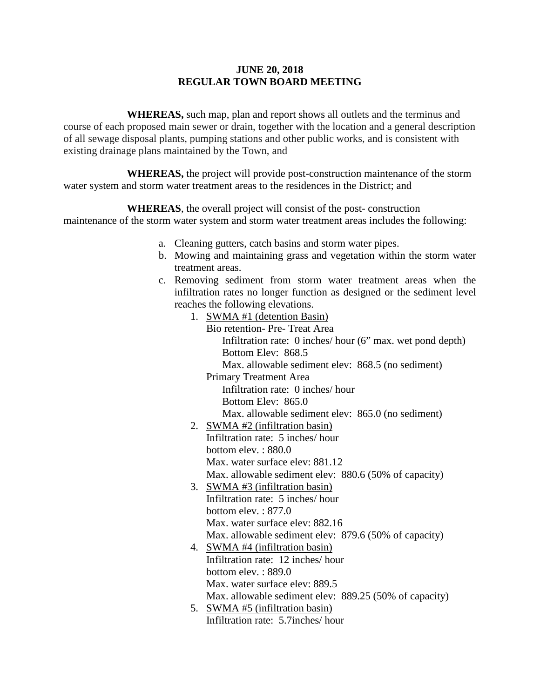**WHEREAS,** such map, plan and report shows all outlets and the terminus and course of each proposed main sewer or drain, together with the location and a general description of all sewage disposal plants, pumping stations and other public works, and is consistent with existing drainage plans maintained by the Town, and

**WHEREAS,** the project will provide post-construction maintenance of the storm water system and storm water treatment areas to the residences in the District; and

**WHEREAS**, the overall project will consist of the post- construction maintenance of the storm water system and storm water treatment areas includes the following:

- a. Cleaning gutters, catch basins and storm water pipes.
- b. Mowing and maintaining grass and vegetation within the storm water treatment areas.
- c. Removing sediment from storm water treatment areas when the infiltration rates no longer function as designed or the sediment level reaches the following elevations.
	- 1. SWMA #1 (detention Basin)

Bio retention- Pre- Treat Area Infiltration rate: 0 inches/ hour (6" max. wet pond depth) Bottom Elev: 868.5 Max. allowable sediment elev: 868.5 (no sediment) Primary Treatment Area

Infiltration rate: 0 inches/ hour Bottom Elev: 865.0 Max. allowable sediment elev: 865.0 (no sediment)

- 2. SWMA #2 (infiltration basin) Infiltration rate: 5 inches/ hour bottom elev. : 880.0 Max. water surface elev: 881.12 Max. allowable sediment elev: 880.6 (50% of capacity)
- 3. SWMA #3 (infiltration basin) Infiltration rate: 5 inches/ hour bottom elev. : 877.0 Max. water surface elev: 882.16 Max. allowable sediment elev: 879.6 (50% of capacity)
- 4. SWMA #4 (infiltration basin) Infiltration rate: 12 inches/ hour bottom elev. : 889.0 Max. water surface elev: 889.5 Max. allowable sediment elev: 889.25 (50% of capacity)
- 5. SWMA #5 (infiltration basin) Infiltration rate: 5.7inches/ hour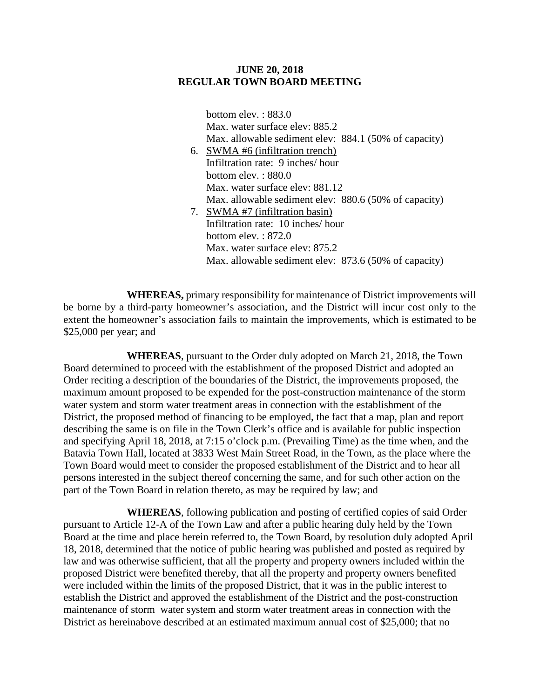bottom elev. : 883.0 Max. water surface elev: 885.2 Max. allowable sediment elev: 884.1 (50% of capacity) 6. SWMA #6 (infiltration trench) Infiltration rate: 9 inches/ hour bottom elev. : 880.0 Max. water surface elev: 881.12 Max. allowable sediment elev: 880.6 (50% of capacity) 7. SWMA #7 (infiltration basin) Infiltration rate: 10 inches/ hour bottom elev. : 872.0 Max. water surface elev: 875.2 Max. allowable sediment elev: 873.6 (50% of capacity)

**WHEREAS,** primary responsibility for maintenance of District improvements will be borne by a third-party homeowner's association, and the District will incur cost only to the extent the homeowner's association fails to maintain the improvements, which is estimated to be \$25,000 per year; and

**WHEREAS**, pursuant to the Order duly adopted on March 21, 2018, the Town Board determined to proceed with the establishment of the proposed District and adopted an Order reciting a description of the boundaries of the District, the improvements proposed, the maximum amount proposed to be expended for the post-construction maintenance of the storm water system and storm water treatment areas in connection with the establishment of the District, the proposed method of financing to be employed, the fact that a map, plan and report describing the same is on file in the Town Clerk's office and is available for public inspection and specifying April 18, 2018, at 7:15 o'clock p.m. (Prevailing Time) as the time when, and the Batavia Town Hall, located at 3833 West Main Street Road, in the Town, as the place where the Town Board would meet to consider the proposed establishment of the District and to hear all persons interested in the subject thereof concerning the same, and for such other action on the part of the Town Board in relation thereto, as may be required by law; and

**WHEREAS**, following publication and posting of certified copies of said Order pursuant to Article 12-A of the Town Law and after a public hearing duly held by the Town Board at the time and place herein referred to, the Town Board, by resolution duly adopted April 18, 2018, determined that the notice of public hearing was published and posted as required by law and was otherwise sufficient, that all the property and property owners included within the proposed District were benefited thereby, that all the property and property owners benefited were included within the limits of the proposed District, that it was in the public interest to establish the District and approved the establishment of the District and the post-construction maintenance of storm water system and storm water treatment areas in connection with the District as hereinabove described at an estimated maximum annual cost of \$25,000; that no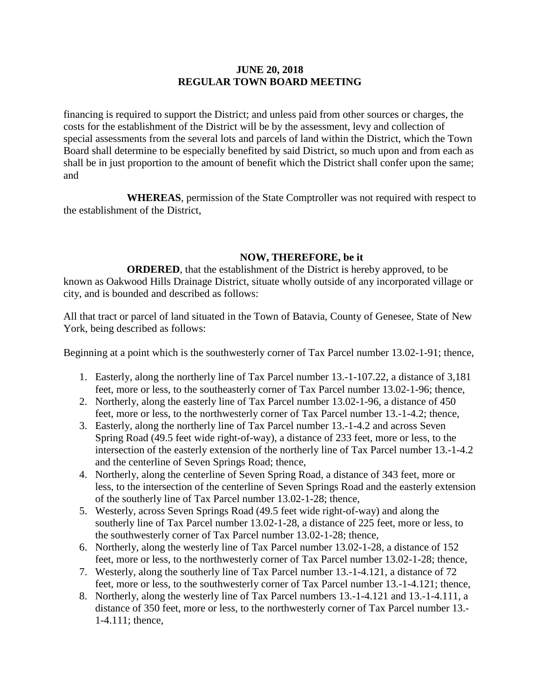financing is required to support the District; and unless paid from other sources or charges, the costs for the establishment of the District will be by the assessment, levy and collection of special assessments from the several lots and parcels of land within the District, which the Town Board shall determine to be especially benefited by said District, so much upon and from each as shall be in just proportion to the amount of benefit which the District shall confer upon the same; and

**WHEREAS**, permission of the State Comptroller was not required with respect to the establishment of the District,

# **NOW, THEREFORE, be it**

**ORDERED**, that the establishment of the District is hereby approved, to be known as Oakwood Hills Drainage District, situate wholly outside of any incorporated village or city, and is bounded and described as follows:

All that tract or parcel of land situated in the Town of Batavia, County of Genesee, State of New York, being described as follows:

Beginning at a point which is the southwesterly corner of Tax Parcel number 13.02-1-91; thence,

- 1. Easterly, along the northerly line of Tax Parcel number 13.-1-107.22, a distance of 3,181 feet, more or less, to the southeasterly corner of Tax Parcel number 13.02-1-96; thence,
- 2. Northerly, along the easterly line of Tax Parcel number 13.02-1-96, a distance of 450 feet, more or less, to the northwesterly corner of Tax Parcel number 13.-1-4.2; thence,
- 3. Easterly, along the northerly line of Tax Parcel number 13.-1-4.2 and across Seven Spring Road (49.5 feet wide right-of-way), a distance of 233 feet, more or less, to the intersection of the easterly extension of the northerly line of Tax Parcel number 13.-1-4.2 and the centerline of Seven Springs Road; thence,
- 4. Northerly, along the centerline of Seven Spring Road, a distance of 343 feet, more or less, to the intersection of the centerline of Seven Springs Road and the easterly extension of the southerly line of Tax Parcel number 13.02-1-28; thence,
- 5. Westerly, across Seven Springs Road (49.5 feet wide right-of-way) and along the southerly line of Tax Parcel number 13.02-1-28, a distance of 225 feet, more or less, to the southwesterly corner of Tax Parcel number 13.02-1-28; thence,
- 6. Northerly, along the westerly line of Tax Parcel number 13.02-1-28, a distance of 152 feet, more or less, to the northwesterly corner of Tax Parcel number 13.02-1-28; thence,
- 7. Westerly, along the southerly line of Tax Parcel number 13.-1-4.121, a distance of 72 feet, more or less, to the southwesterly corner of Tax Parcel number 13.-1-4.121; thence,
- 8. Northerly, along the westerly line of Tax Parcel numbers 13.-1-4.121 and 13.-1-4.111, a distance of 350 feet, more or less, to the northwesterly corner of Tax Parcel number 13.- 1-4.111; thence,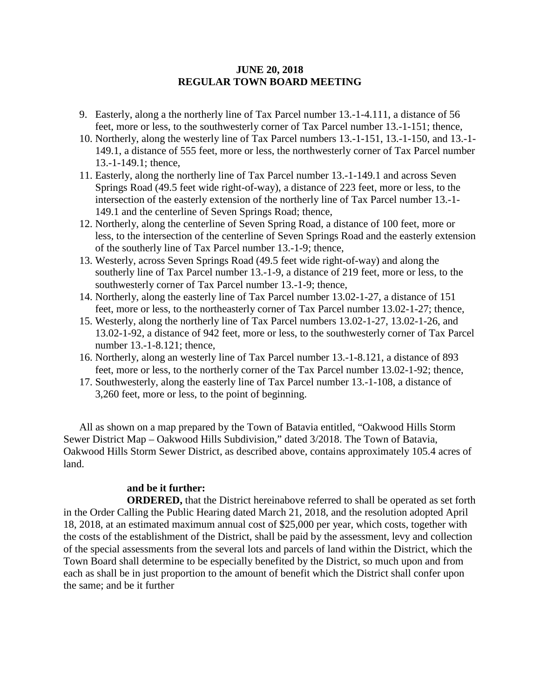- 9. Easterly, along a the northerly line of Tax Parcel number 13.-1-4.111, a distance of 56 feet, more or less, to the southwesterly corner of Tax Parcel number 13.-1-151; thence,
- 10. Northerly, along the westerly line of Tax Parcel numbers 13.-1-151, 13.-1-150, and 13.-1- 149.1, a distance of 555 feet, more or less, the northwesterly corner of Tax Parcel number 13.-1-149.1; thence,
- 11. Easterly, along the northerly line of Tax Parcel number 13.-1-149.1 and across Seven Springs Road (49.5 feet wide right-of-way), a distance of 223 feet, more or less, to the intersection of the easterly extension of the northerly line of Tax Parcel number 13.-1- 149.1 and the centerline of Seven Springs Road; thence,
- 12. Northerly, along the centerline of Seven Spring Road, a distance of 100 feet, more or less, to the intersection of the centerline of Seven Springs Road and the easterly extension of the southerly line of Tax Parcel number 13.-1-9; thence,
- 13. Westerly, across Seven Springs Road (49.5 feet wide right-of-way) and along the southerly line of Tax Parcel number 13.-1-9, a distance of 219 feet, more or less, to the southwesterly corner of Tax Parcel number 13.-1-9; thence,
- 14. Northerly, along the easterly line of Tax Parcel number 13.02-1-27, a distance of 151 feet, more or less, to the northeasterly corner of Tax Parcel number 13.02-1-27; thence,
- 15. Westerly, along the northerly line of Tax Parcel numbers 13.02-1-27, 13.02-1-26, and 13.02-1-92, a distance of 942 feet, more or less, to the southwesterly corner of Tax Parcel number 13.-1-8.121; thence,
- 16. Northerly, along an westerly line of Tax Parcel number 13.-1-8.121, a distance of 893 feet, more or less, to the northerly corner of the Tax Parcel number 13.02-1-92; thence,
- 17. Southwesterly, along the easterly line of Tax Parcel number 13.-1-108, a distance of 3,260 feet, more or less, to the point of beginning.

All as shown on a map prepared by the Town of Batavia entitled, "Oakwood Hills Storm Sewer District Map – Oakwood Hills Subdivision," dated 3/2018. The Town of Batavia, Oakwood Hills Storm Sewer District, as described above, contains approximately 105.4 acres of land.

# **and be it further:**

**ORDERED,** that the District hereinabove referred to shall be operated as set forth in the Order Calling the Public Hearing dated March 21, 2018, and the resolution adopted April 18, 2018, at an estimated maximum annual cost of \$25,000 per year, which costs, together with the costs of the establishment of the District, shall be paid by the assessment, levy and collection of the special assessments from the several lots and parcels of land within the District, which the Town Board shall determine to be especially benefited by the District, so much upon and from each as shall be in just proportion to the amount of benefit which the District shall confer upon the same; and be it further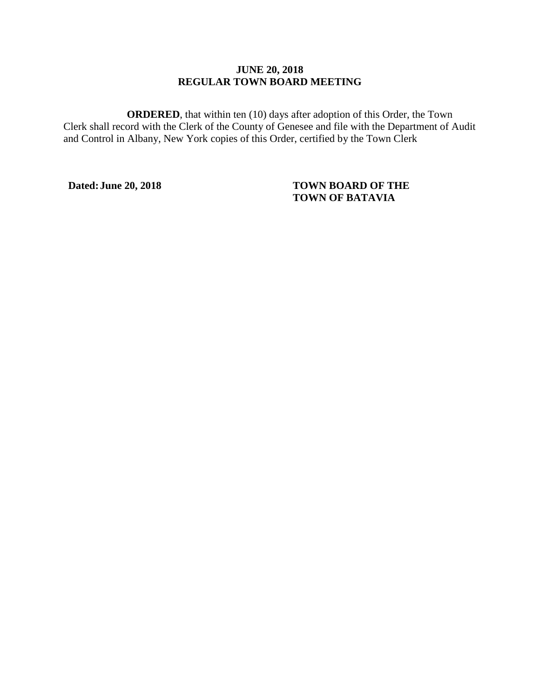**ORDERED**, that within ten (10) days after adoption of this Order, the Town Clerk shall record with the Clerk of the County of Genesee and file with the Department of Audit and Control in Albany, New York copies of this Order, certified by the Town Clerk

# **Dated:June 20, 2018 TOWN BOARD OF THE TOWN OF BATAVIA**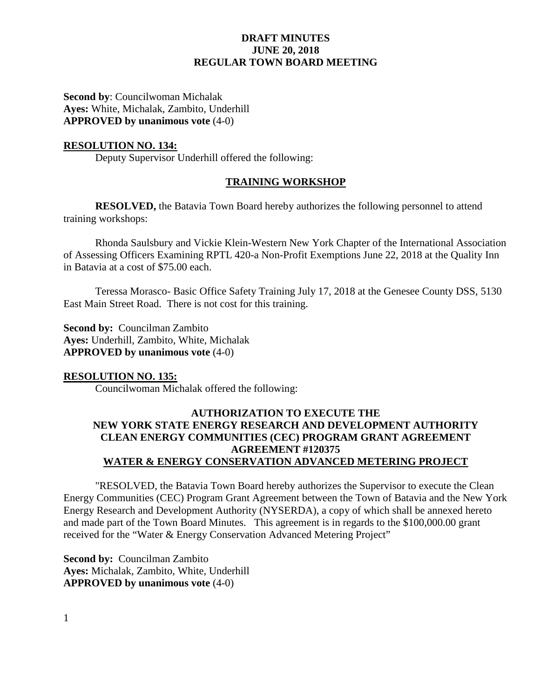**Second by**: Councilwoman Michalak **Ayes:** White, Michalak, Zambito, Underhill **APPROVED by unanimous vote** (4-0)

## **RESOLUTION NO. 134:**

Deputy Supervisor Underhill offered the following:

#### **TRAINING WORKSHOP**

**RESOLVED,** the Batavia Town Board hereby authorizes the following personnel to attend training workshops:

Rhonda Saulsbury and Vickie Klein-Western New York Chapter of the International Association of Assessing Officers Examining RPTL 420-a Non-Profit Exemptions June 22, 2018 at the Quality Inn in Batavia at a cost of \$75.00 each.

Teressa Morasco- Basic Office Safety Training July 17, 2018 at the Genesee County DSS, 5130 East Main Street Road. There is not cost for this training.

**Second by:** Councilman Zambito **Ayes:** Underhill, Zambito, White, Michalak **APPROVED by unanimous vote** (4-0)

#### **RESOLUTION NO. 135:**

Councilwoman Michalak offered the following:

# **AUTHORIZATION TO EXECUTE THE NEW YORK STATE ENERGY RESEARCH AND DEVELOPMENT AUTHORITY CLEAN ENERGY COMMUNITIES (CEC) PROGRAM GRANT AGREEMENT AGREEMENT #120375 WATER & ENERGY CONSERVATION ADVANCED METERING PROJECT**

"RESOLVED, the Batavia Town Board hereby authorizes the Supervisor to execute the Clean Energy Communities (CEC) Program Grant Agreement between the Town of Batavia and the New York Energy Research and Development Authority (NYSERDA), a copy of which shall be annexed hereto and made part of the Town Board Minutes. This agreement is in regards to the \$100,000.00 grant received for the "Water & Energy Conservation Advanced Metering Project"

**Second by:** Councilman Zambito **Ayes:** Michalak, Zambito, White, Underhill **APPROVED by unanimous vote** (4-0)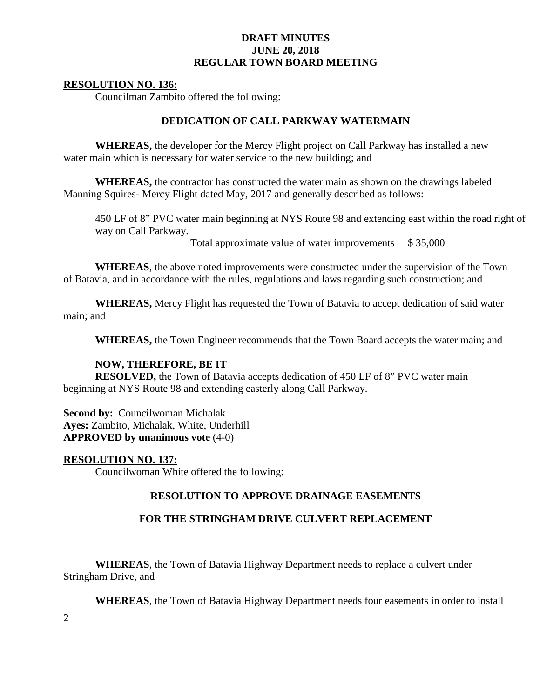#### **RESOLUTION NO. 136:**

Councilman Zambito offered the following:

#### **DEDICATION OF CALL PARKWAY WATERMAIN**

**WHEREAS,** the developer for the Mercy Flight project on Call Parkway has installed a new water main which is necessary for water service to the new building; and

**WHEREAS,** the contractor has constructed the water main as shown on the drawings labeled Manning Squires- Mercy Flight dated May, 2017 and generally described as follows:

450 LF of 8" PVC water main beginning at NYS Route 98 and extending east within the road right of way on Call Parkway.

Total approximate value of water improvements \$ 35,000

**WHEREAS**, the above noted improvements were constructed under the supervision of the Town of Batavia, and in accordance with the rules, regulations and laws regarding such construction; and

**WHEREAS,** Mercy Flight has requested the Town of Batavia to accept dedication of said water main; and

**WHEREAS,** the Town Engineer recommends that the Town Board accepts the water main; and

#### **NOW, THEREFORE, BE IT**

**RESOLVED,** the Town of Batavia accepts dedication of 450 LF of 8" PVC water main beginning at NYS Route 98 and extending easterly along Call Parkway.

**Second by: Councilwoman Michalak Ayes:** Zambito, Michalak, White, Underhill **APPROVED by unanimous vote** (4-0)

**RESOLUTION NO. 137:** Councilwoman White offered the following:

#### **RESOLUTION TO APPROVE DRAINAGE EASEMENTS**

#### **FOR THE STRINGHAM DRIVE CULVERT REPLACEMENT**

**WHEREAS**, the Town of Batavia Highway Department needs to replace a culvert under Stringham Drive, and

**WHEREAS**, the Town of Batavia Highway Department needs four easements in order to install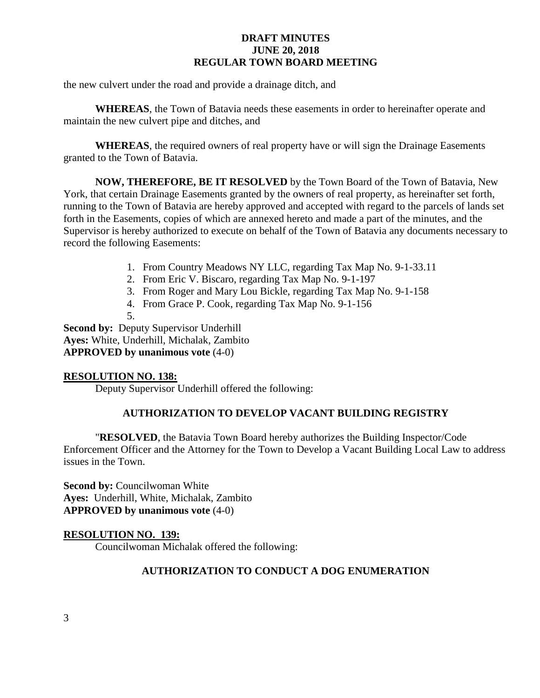the new culvert under the road and provide a drainage ditch, and

**WHEREAS**, the Town of Batavia needs these easements in order to hereinafter operate and maintain the new culvert pipe and ditches, and

**WHEREAS**, the required owners of real property have or will sign the Drainage Easements granted to the Town of Batavia.

**NOW, THEREFORE, BE IT RESOLVED** by the Town Board of the Town of Batavia, New York, that certain Drainage Easements granted by the owners of real property, as hereinafter set forth, running to the Town of Batavia are hereby approved and accepted with regard to the parcels of lands set forth in the Easements, copies of which are annexed hereto and made a part of the minutes, and the Supervisor is hereby authorized to execute on behalf of the Town of Batavia any documents necessary to record the following Easements:

- 1. From Country Meadows NY LLC, regarding Tax Map No. 9-1-33.11
- 2. From Eric V. Biscaro, regarding Tax Map No. 9-1-197
- 3. From Roger and Mary Lou Bickle, regarding Tax Map No. 9-1-158
- 4. From Grace P. Cook, regarding Tax Map No. 9-1-156
- 5.

**Second by: Deputy Supervisor Underhill Ayes:** White, Underhill, Michalak, Zambito **APPROVED by unanimous vote** (4-0)

# **RESOLUTION NO. 138:**

Deputy Supervisor Underhill offered the following:

# **AUTHORIZATION TO DEVELOP VACANT BUILDING REGISTRY**

"**RESOLVED**, the Batavia Town Board hereby authorizes the Building Inspector/Code Enforcement Officer and the Attorney for the Town to Develop a Vacant Building Local Law to address issues in the Town.

**Second by:** Councilwoman White **Ayes:** Underhill, White, Michalak, Zambito **APPROVED by unanimous vote** (4-0)

# **RESOLUTION NO. 139:**

Councilwoman Michalak offered the following:

# **AUTHORIZATION TO CONDUCT A DOG ENUMERATION**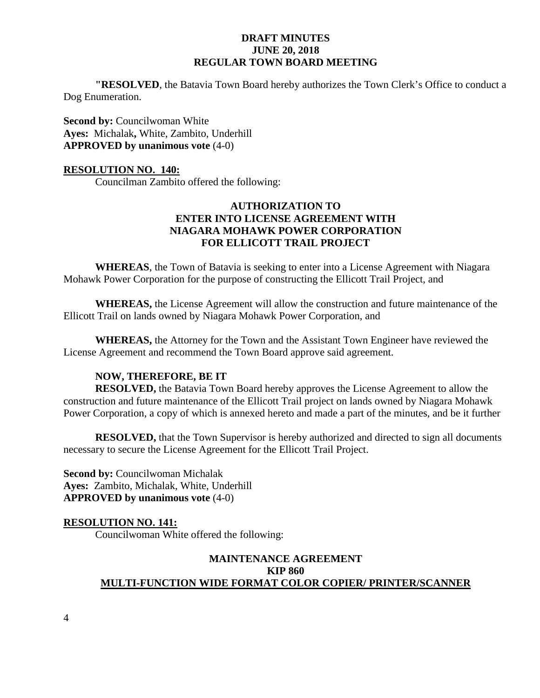**"RESOLVED**, the Batavia Town Board hereby authorizes the Town Clerk's Office to conduct a Dog Enumeration.

**Second by: Councilwoman White Ayes:** Michalak**,** White, Zambito, Underhill **APPROVED by unanimous vote** (4-0)

#### **RESOLUTION NO. 140:**

Councilman Zambito offered the following:

# **AUTHORIZATION TO ENTER INTO LICENSE AGREEMENT WITH NIAGARA MOHAWK POWER CORPORATION FOR ELLICOTT TRAIL PROJECT**

**WHEREAS**, the Town of Batavia is seeking to enter into a License Agreement with Niagara Mohawk Power Corporation for the purpose of constructing the Ellicott Trail Project, and

**WHEREAS,** the License Agreement will allow the construction and future maintenance of the Ellicott Trail on lands owned by Niagara Mohawk Power Corporation, and

**WHEREAS,** the Attorney for the Town and the Assistant Town Engineer have reviewed the License Agreement and recommend the Town Board approve said agreement.

#### **NOW, THEREFORE, BE IT**

**RESOLVED,** the Batavia Town Board hereby approves the License Agreement to allow the construction and future maintenance of the Ellicott Trail project on lands owned by Niagara Mohawk Power Corporation, a copy of which is annexed hereto and made a part of the minutes, and be it further

**RESOLVED,** that the Town Supervisor is hereby authorized and directed to sign all documents necessary to secure the License Agreement for the Ellicott Trail Project.

**Second by: Councilwoman Michalak Ayes:** Zambito, Michalak, White, Underhill **APPROVED by unanimous vote** (4-0)

#### **RESOLUTION NO. 141:**

Councilwoman White offered the following:

# **MAINTENANCE AGREEMENT KIP 860 MULTI-FUNCTION WIDE FORMAT COLOR COPIER/ PRINTER/SCANNER**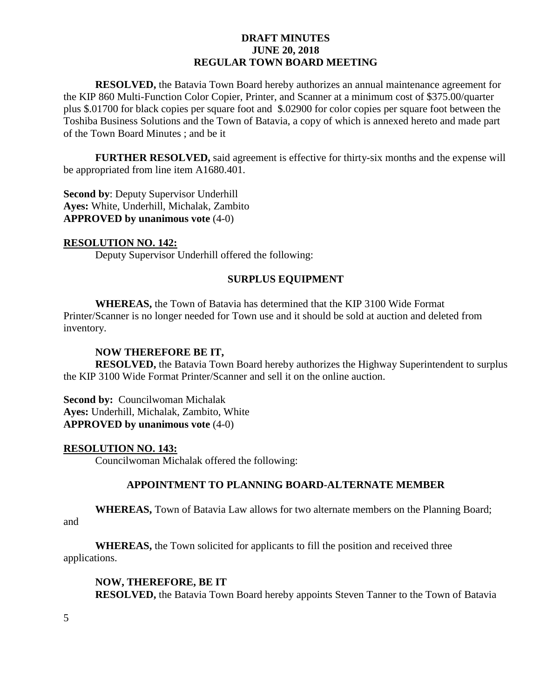**RESOLVED,** the Batavia Town Board hereby authorizes an annual maintenance agreement for the KIP 860 Multi-Function Color Copier, Printer, and Scanner at a minimum cost of \$375.00/quarter plus \$.01700 for black copies per square foot and \$.02900 for color copies per square foot between the Toshiba Business Solutions and the Town of Batavia, a copy of which is annexed hereto and made part of the Town Board Minutes ; and be it

**FURTHER RESOLVED,** said agreement is effective for thirty-six months and the expense will be appropriated from line item A1680.401.

**Second by**: Deputy Supervisor Underhill **Ayes:** White, Underhill, Michalak, Zambito **APPROVED by unanimous vote** (4-0)

#### **RESOLUTION NO. 142:**

Deputy Supervisor Underhill offered the following:

# **SURPLUS EQUIPMENT**

**WHEREAS,** the Town of Batavia has determined that the KIP 3100 Wide Format Printer/Scanner is no longer needed for Town use and it should be sold at auction and deleted from inventory.

# **NOW THEREFORE BE IT,**

**RESOLVED,** the Batavia Town Board hereby authorizes the Highway Superintendent to surplus the KIP 3100 Wide Format Printer/Scanner and sell it on the online auction.

**Second by:** Councilwoman Michalak **Ayes:** Underhill, Michalak, Zambito, White **APPROVED by unanimous vote** (4-0)

#### **RESOLUTION NO. 143:**

Councilwoman Michalak offered the following:

# **APPOINTMENT TO PLANNING BOARD-ALTERNATE MEMBER**

**WHEREAS,** Town of Batavia Law allows for two alternate members on the Planning Board;

and

**WHEREAS,** the Town solicited for applicants to fill the position and received three applications.

#### **NOW, THEREFORE, BE IT**

**RESOLVED,** the Batavia Town Board hereby appoints Steven Tanner to the Town of Batavia

5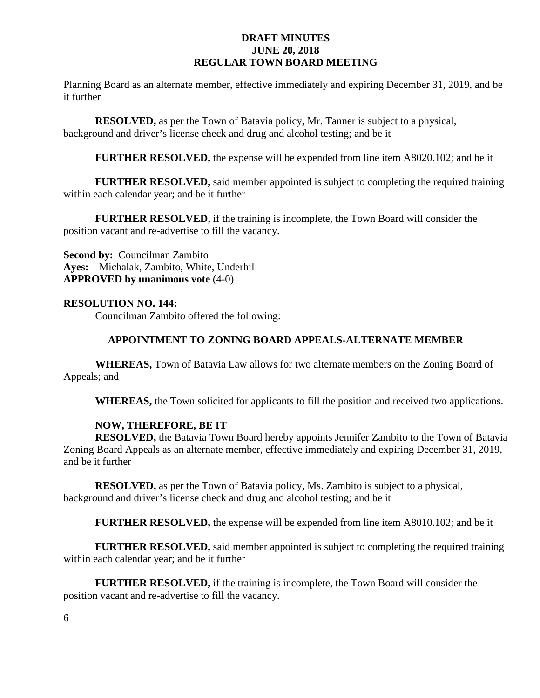Planning Board as an alternate member, effective immediately and expiring December 31, 2019, and be it further

**RESOLVED,** as per the Town of Batavia policy, Mr. Tanner is subject to a physical, background and driver's license check and drug and alcohol testing; and be it

**FURTHER RESOLVED,** the expense will be expended from line item A8020.102; and be it

**FURTHER RESOLVED,** said member appointed is subject to completing the required training within each calendar year; and be it further

**FURTHER RESOLVED,** if the training is incomplete, the Town Board will consider the position vacant and re-advertise to fill the vacancy.

**Second by:** Councilman Zambito **Ayes:** Michalak, Zambito, White, Underhill **APPROVED by unanimous vote** (4-0)

#### **RESOLUTION NO. 144:**

Councilman Zambito offered the following:

#### **APPOINTMENT TO ZONING BOARD APPEALS-ALTERNATE MEMBER**

**WHEREAS,** Town of Batavia Law allows for two alternate members on the Zoning Board of Appeals; and

**WHEREAS,** the Town solicited for applicants to fill the position and received two applications.

#### **NOW, THEREFORE, BE IT**

**RESOLVED,** the Batavia Town Board hereby appoints Jennifer Zambito to the Town of Batavia Zoning Board Appeals as an alternate member, effective immediately and expiring December 31, 2019, and be it further

**RESOLVED,** as per the Town of Batavia policy, Ms. Zambito is subject to a physical, background and driver's license check and drug and alcohol testing; and be it

**FURTHER RESOLVED,** the expense will be expended from line item A8010.102; and be it

**FURTHER RESOLVED,** said member appointed is subject to completing the required training within each calendar year; and be it further

**FURTHER RESOLVED,** if the training is incomplete, the Town Board will consider the position vacant and re-advertise to fill the vacancy.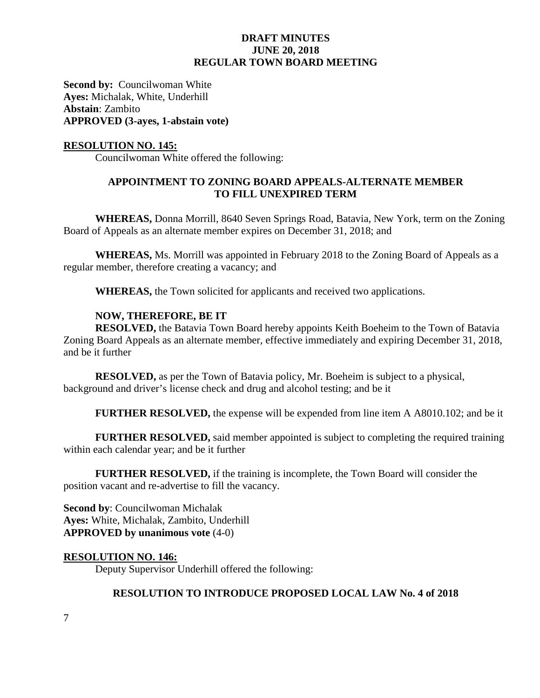**Second by: Councilwoman White Ayes:** Michalak, White, Underhill **Abstain**: Zambito **APPROVED (3-ayes, 1-abstain vote)**

#### **RESOLUTION NO. 145:**

Councilwoman White offered the following:

# **APPOINTMENT TO ZONING BOARD APPEALS-ALTERNATE MEMBER TO FILL UNEXPIRED TERM**

**WHEREAS,** Donna Morrill, 8640 Seven Springs Road, Batavia, New York, term on the Zoning Board of Appeals as an alternate member expires on December 31, 2018; and

**WHEREAS,** Ms. Morrill was appointed in February 2018 to the Zoning Board of Appeals as a regular member, therefore creating a vacancy; and

**WHEREAS,** the Town solicited for applicants and received two applications.

#### **NOW, THEREFORE, BE IT**

**RESOLVED,** the Batavia Town Board hereby appoints Keith Boeheim to the Town of Batavia Zoning Board Appeals as an alternate member, effective immediately and expiring December 31, 2018, and be it further

**RESOLVED,** as per the Town of Batavia policy, Mr. Boeheim is subject to a physical, background and driver's license check and drug and alcohol testing; and be it

**FURTHER RESOLVED,** the expense will be expended from line item A A8010.102; and be it

**FURTHER RESOLVED,** said member appointed is subject to completing the required training within each calendar year; and be it further

**FURTHER RESOLVED,** if the training is incomplete, the Town Board will consider the position vacant and re-advertise to fill the vacancy.

**Second by**: Councilwoman Michalak **Ayes:** White, Michalak, Zambito, Underhill **APPROVED by unanimous vote** (4-0)

#### **RESOLUTION NO. 146:**

Deputy Supervisor Underhill offered the following:

## **RESOLUTION TO INTRODUCE PROPOSED LOCAL LAW No. 4 of 2018**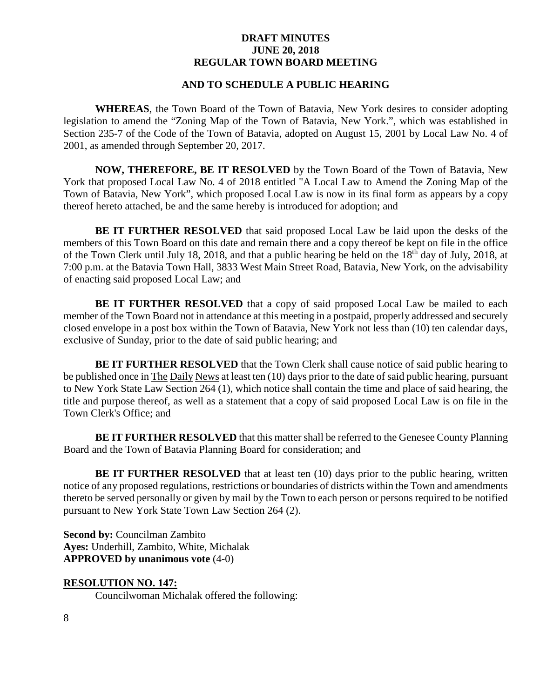# **AND TO SCHEDULE A PUBLIC HEARING**

**WHEREAS**, the Town Board of the Town of Batavia, New York desires to consider adopting legislation to amend the "Zoning Map of the Town of Batavia, New York.", which was established in Section 235-7 of the Code of the Town of Batavia, adopted on August 15, 2001 by Local Law No. 4 of 2001, as amended through September 20, 2017.

**NOW, THEREFORE, BE IT RESOLVED** by the Town Board of the Town of Batavia, New York that proposed Local Law No. 4 of 2018 entitled "A Local Law to Amend the Zoning Map of the Town of Batavia, New York", which proposed Local Law is now in its final form as appears by a copy thereof hereto attached, be and the same hereby is introduced for adoption; and

**BE IT FURTHER RESOLVED** that said proposed Local Law be laid upon the desks of the members of this Town Board on this date and remain there and a copy thereof be kept on file in the office of the Town Clerk until July 18, 2018, and that a public hearing be held on the 18<sup>th</sup> day of July, 2018, at 7:00 p.m. at the Batavia Town Hall, 3833 West Main Street Road, Batavia, New York, on the advisability of enacting said proposed Local Law; and

**BE IT FURTHER RESOLVED** that a copy of said proposed Local Law be mailed to each member of the Town Board not in attendance at this meeting in a postpaid, properly addressed and securely closed envelope in a post box within the Town of Batavia, New York not less than (10) ten calendar days, exclusive of Sunday, prior to the date of said public hearing; and

**BE IT FURTHER RESOLVED** that the Town Clerk shall cause notice of said public hearing to be published once in The Daily News at least ten (10) days prior to the date of said public hearing, pursuant to New York State Law Section 264 (1), which notice shall contain the time and place of said hearing, the title and purpose thereof, as well as a statement that a copy of said proposed Local Law is on file in the Town Clerk's Office; and

**BE IT FURTHER RESOLVED** that this matter shall be referred to the Genesee County Planning Board and the Town of Batavia Planning Board for consideration; and

**BE IT FURTHER RESOLVED** that at least ten (10) days prior to the public hearing, written notice of any proposed regulations, restrictions or boundaries of districts within the Town and amendments thereto be served personally or given by mail by the Town to each person or persons required to be notified pursuant to New York State Town Law Section 264 (2).

**Second by:** Councilman Zambito **Ayes:** Underhill, Zambito, White, Michalak **APPROVED by unanimous vote** (4-0)

# **RESOLUTION NO. 147:**

Councilwoman Michalak offered the following: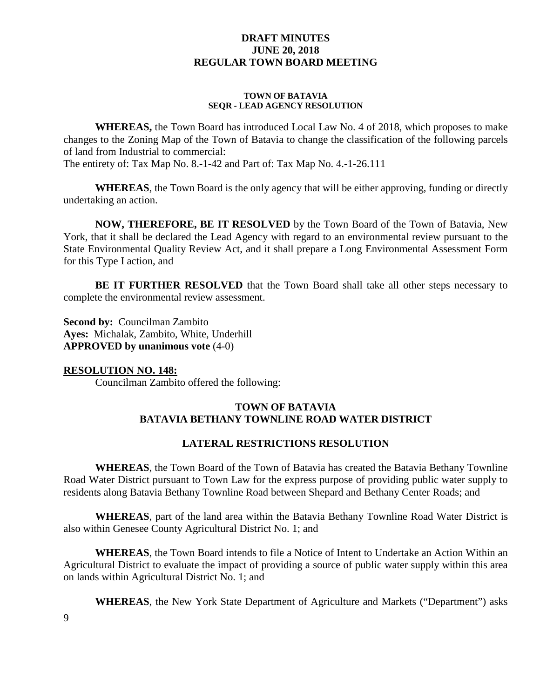#### **TOWN OF BATAVIA SEQR - LEAD AGENCY RESOLUTION**

**WHEREAS,** the Town Board has introduced Local Law No. 4 of 2018, which proposes to make changes to the Zoning Map of the Town of Batavia to change the classification of the following parcels of land from Industrial to commercial: The entirety of: Tax Map No. 8.-1-42 and Part of: Tax Map No. 4.-1-26.111

**WHEREAS**, the Town Board is the only agency that will be either approving, funding or directly undertaking an action.

**NOW, THEREFORE, BE IT RESOLVED** by the Town Board of the Town of Batavia, New York, that it shall be declared the Lead Agency with regard to an environmental review pursuant to the State Environmental Quality Review Act, and it shall prepare a Long Environmental Assessment Form for this Type I action, and

**BE IT FURTHER RESOLVED** that the Town Board shall take all other steps necessary to complete the environmental review assessment.

**Second by:** Councilman Zambito **Ayes:** Michalak, Zambito, White, Underhill **APPROVED by unanimous vote** (4-0)

# **RESOLUTION NO. 148:**

Councilman Zambito offered the following:

# **TOWN OF BATAVIA BATAVIA BETHANY TOWNLINE ROAD WATER DISTRICT**

# **LATERAL RESTRICTIONS RESOLUTION**

**WHEREAS**, the Town Board of the Town of Batavia has created the Batavia Bethany Townline Road Water District pursuant to Town Law for the express purpose of providing public water supply to residents along Batavia Bethany Townline Road between Shepard and Bethany Center Roads; and

**WHEREAS**, part of the land area within the Batavia Bethany Townline Road Water District is also within Genesee County Agricultural District No. 1; and

**WHEREAS**, the Town Board intends to file a Notice of Intent to Undertake an Action Within an Agricultural District to evaluate the impact of providing a source of public water supply within this area on lands within Agricultural District No. 1; and

**WHEREAS**, the New York State Department of Agriculture and Markets ("Department") asks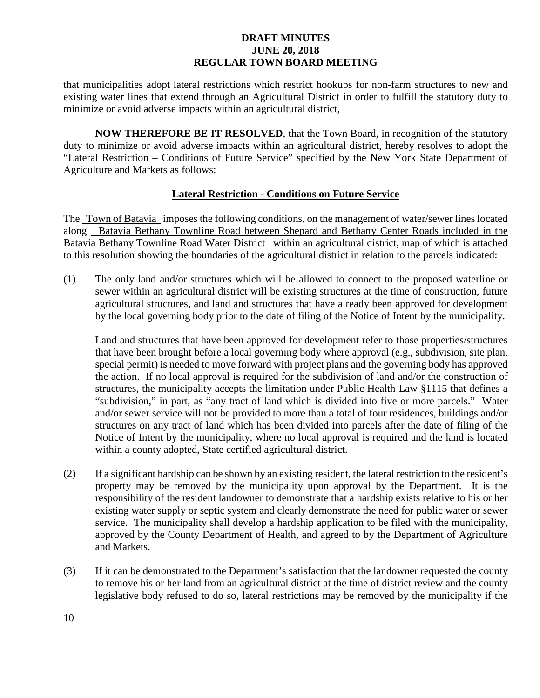that municipalities adopt lateral restrictions which restrict hookups for non-farm structures to new and existing water lines that extend through an Agricultural District in order to fulfill the statutory duty to minimize or avoid adverse impacts within an agricultural district,

**NOW THEREFORE BE IT RESOLVED**, that the Town Board, in recognition of the statutory duty to minimize or avoid adverse impacts within an agricultural district, hereby resolves to adopt the "Lateral Restriction – Conditions of Future Service" specified by the New York State Department of Agriculture and Markets as follows:

# **Lateral Restriction - Conditions on Future Service**

The Town of Batavia imposes the following conditions, on the management of water/sewer lines located along Batavia Bethany Townline Road between Shepard and Bethany Center Roads included in the Batavia Bethany Townline Road Water District within an agricultural district, map of which is attached to this resolution showing the boundaries of the agricultural district in relation to the parcels indicated:

(1) The only land and/or structures which will be allowed to connect to the proposed waterline or sewer within an agricultural district will be existing structures at the time of construction, future agricultural structures, and land and structures that have already been approved for development by the local governing body prior to the date of filing of the Notice of Intent by the municipality.

Land and structures that have been approved for development refer to those properties/structures that have been brought before a local governing body where approval (e.g., subdivision, site plan, special permit) is needed to move forward with project plans and the governing body has approved the action. If no local approval is required for the subdivision of land and/or the construction of structures, the municipality accepts the limitation under Public Health Law §1115 that defines a "subdivision," in part, as "any tract of land which is divided into five or more parcels." Water and/or sewer service will not be provided to more than a total of four residences, buildings and/or structures on any tract of land which has been divided into parcels after the date of filing of the Notice of Intent by the municipality, where no local approval is required and the land is located within a county adopted, State certified agricultural district.

- (2) If a significant hardship can be shown by an existing resident, the lateral restriction to the resident's property may be removed by the municipality upon approval by the Department. It is the responsibility of the resident landowner to demonstrate that a hardship exists relative to his or her existing water supply or septic system and clearly demonstrate the need for public water or sewer service. The municipality shall develop a hardship application to be filed with the municipality, approved by the County Department of Health, and agreed to by the Department of Agriculture and Markets.
- (3) If it can be demonstrated to the Department's satisfaction that the landowner requested the county to remove his or her land from an agricultural district at the time of district review and the county legislative body refused to do so, lateral restrictions may be removed by the municipality if the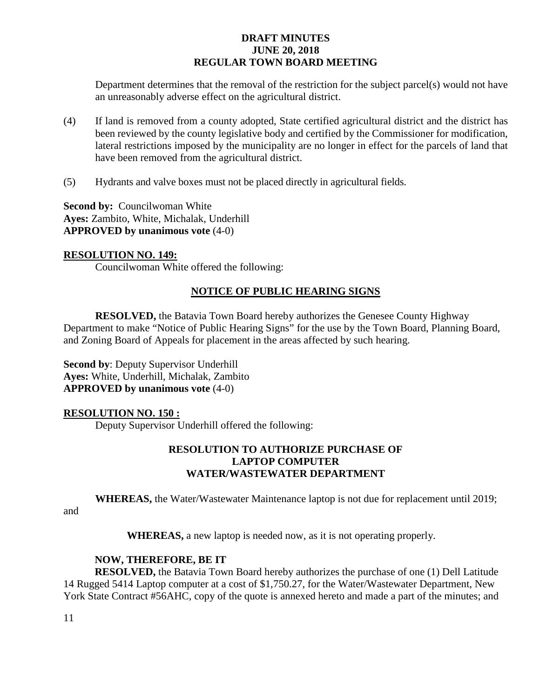Department determines that the removal of the restriction for the subject parcel(s) would not have an unreasonably adverse effect on the agricultural district.

- (4) If land is removed from a county adopted, State certified agricultural district and the district has been reviewed by the county legislative body and certified by the Commissioner for modification, lateral restrictions imposed by the municipality are no longer in effect for the parcels of land that have been removed from the agricultural district.
- (5) Hydrants and valve boxes must not be placed directly in agricultural fields.

**Second by: Councilwoman White Ayes:** Zambito, White, Michalak, Underhill **APPROVED by unanimous vote** (4-0)

# **RESOLUTION NO. 149:**

Councilwoman White offered the following:

# **NOTICE OF PUBLIC HEARING SIGNS**

**RESOLVED,** the Batavia Town Board hereby authorizes the Genesee County Highway Department to make "Notice of Public Hearing Signs" for the use by the Town Board, Planning Board, and Zoning Board of Appeals for placement in the areas affected by such hearing.

**Second by**: Deputy Supervisor Underhill **Ayes:** White, Underhill, Michalak, Zambito **APPROVED by unanimous vote** (4-0)

# **RESOLUTION NO. 150 :**

Deputy Supervisor Underhill offered the following:

# **RESOLUTION TO AUTHORIZE PURCHASE OF LAPTOP COMPUTER WATER/WASTEWATER DEPARTMENT**

**WHEREAS,** the Water/Wastewater Maintenance laptop is not due for replacement until 2019;

and

**WHEREAS,** a new laptop is needed now, as it is not operating properly.

# **NOW, THEREFORE, BE IT**

**RESOLVED,** the Batavia Town Board hereby authorizes the purchase of one (1) Dell Latitude 14 Rugged 5414 Laptop computer at a cost of \$1,750.27, for the Water/Wastewater Department, New York State Contract #56AHC, copy of the quote is annexed hereto and made a part of the minutes; and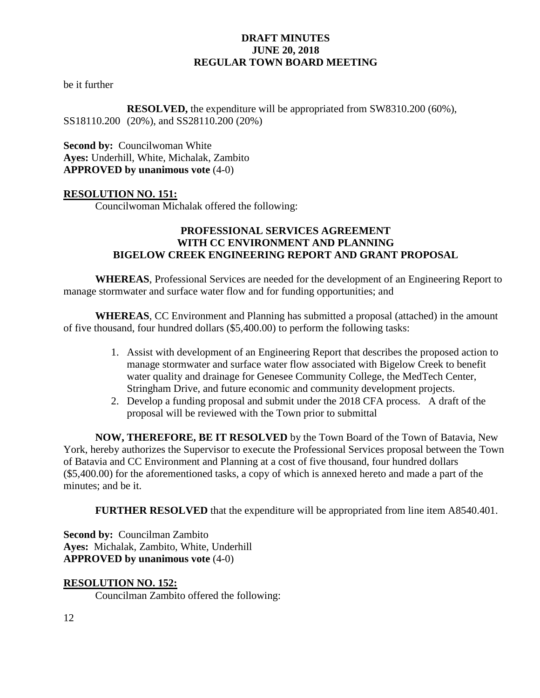be it further

**RESOLVED,** the expenditure will be appropriated from SW8310.200 (60%), SS18110.200 (20%), and SS28110.200 (20%)

**Second by: Councilwoman White Ayes:** Underhill, White, Michalak, Zambito **APPROVED by unanimous vote** (4-0)

# **RESOLUTION NO. 151:**

Councilwoman Michalak offered the following:

# **PROFESSIONAL SERVICES AGREEMENT WITH CC ENVIRONMENT AND PLANNING BIGELOW CREEK ENGINEERING REPORT AND GRANT PROPOSAL**

**WHEREAS**, Professional Services are needed for the development of an Engineering Report to manage stormwater and surface water flow and for funding opportunities; and

**WHEREAS**, CC Environment and Planning has submitted a proposal (attached) in the amount of five thousand, four hundred dollars (\$5,400.00) to perform the following tasks:

- 1. Assist with development of an Engineering Report that describes the proposed action to manage stormwater and surface water flow associated with Bigelow Creek to benefit water quality and drainage for Genesee Community College, the MedTech Center, Stringham Drive, and future economic and community development projects.
- 2. Develop a funding proposal and submit under the 2018 CFA process. A draft of the proposal will be reviewed with the Town prior to submittal

**NOW, THEREFORE, BE IT RESOLVED** by the Town Board of the Town of Batavia, New York, hereby authorizes the Supervisor to execute the Professional Services proposal between the Town of Batavia and CC Environment and Planning at a cost of five thousand, four hundred dollars (\$5,400.00) for the aforementioned tasks, a copy of which is annexed hereto and made a part of the minutes; and be it.

**FURTHER RESOLVED** that the expenditure will be appropriated from line item A8540.401.

**Second by:** Councilman Zambito **Ayes:** Michalak, Zambito, White, Underhill **APPROVED by unanimous vote** (4-0)

# **RESOLUTION NO. 152:**

Councilman Zambito offered the following: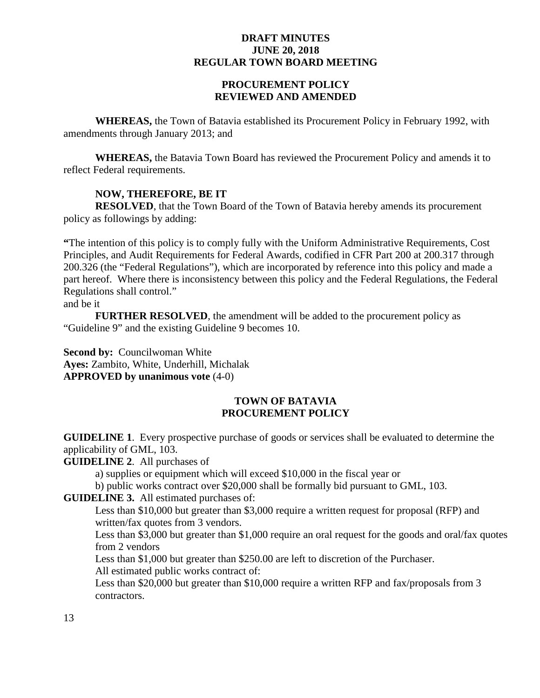# **PROCUREMENT POLICY REVIEWED AND AMENDED**

**WHEREAS,** the Town of Batavia established its Procurement Policy in February 1992, with amendments through January 2013; and

**WHEREAS,** the Batavia Town Board has reviewed the Procurement Policy and amends it to reflect Federal requirements.

# **NOW, THEREFORE, BE IT**

**RESOLVED**, that the Town Board of the Town of Batavia hereby amends its procurement policy as followings by adding:

**"**The intention of this policy is to comply fully with the Uniform Administrative Requirements, Cost Principles, and Audit Requirements for Federal Awards, codified in CFR Part 200 at 200.317 through 200.326 (the "Federal Regulations"), which are incorporated by reference into this policy and made a part hereof. Where there is inconsistency between this policy and the Federal Regulations, the Federal Regulations shall control."

and be it

**FURTHER RESOLVED**, the amendment will be added to the procurement policy as "Guideline 9" and the existing Guideline 9 becomes 10.

**Second by: Councilwoman White Ayes:** Zambito, White, Underhill, Michalak **APPROVED by unanimous vote** (4-0)

#### **TOWN OF BATAVIA PROCUREMENT POLICY**

**GUIDELINE 1**. Every prospective purchase of goods or services shall be evaluated to determine the applicability of GML, 103.

**GUIDELINE 2**. All purchases of

a) supplies or equipment which will exceed \$10,000 in the fiscal year or

b) public works contract over \$20,000 shall be formally bid pursuant to GML, 103.

# **GUIDELINE 3.** All estimated purchases of:

Less than \$10,000 but greater than \$3,000 require a written request for proposal (RFP) and written/fax quotes from 3 vendors.

Less than \$3,000 but greater than \$1,000 require an oral request for the goods and oral/fax quotes from 2 vendors

Less than \$1,000 but greater than \$250.00 are left to discretion of the Purchaser.

All estimated public works contract of:

Less than \$20,000 but greater than \$10,000 require a written RFP and fax/proposals from 3 contractors.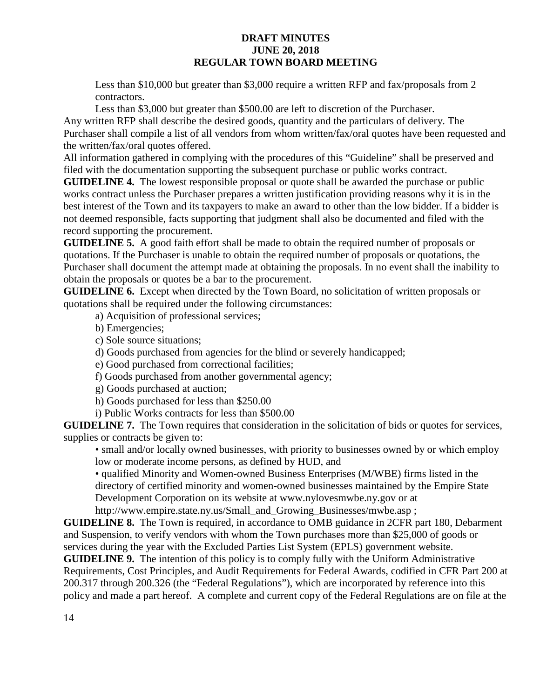Less than \$10,000 but greater than \$3,000 require a written RFP and fax/proposals from 2 contractors.

Less than \$3,000 but greater than \$500.00 are left to discretion of the Purchaser. Any written RFP shall describe the desired goods, quantity and the particulars of delivery. The Purchaser shall compile a list of all vendors from whom written/fax/oral quotes have been requested and the written/fax/oral quotes offered.

All information gathered in complying with the procedures of this "Guideline" shall be preserved and filed with the documentation supporting the subsequent purchase or public works contract.

**GUIDELINE 4.** The lowest responsible proposal or quote shall be awarded the purchase or public works contract unless the Purchaser prepares a written justification providing reasons why it is in the best interest of the Town and its taxpayers to make an award to other than the low bidder. If a bidder is not deemed responsible, facts supporting that judgment shall also be documented and filed with the record supporting the procurement.

**GUIDELINE 5.** A good faith effort shall be made to obtain the required number of proposals or quotations. If the Purchaser is unable to obtain the required number of proposals or quotations, the Purchaser shall document the attempt made at obtaining the proposals. In no event shall the inability to obtain the proposals or quotes be a bar to the procurement.

**GUIDELINE 6.** Except when directed by the Town Board, no solicitation of written proposals or quotations shall be required under the following circumstances:

a) Acquisition of professional services;

b) Emergencies;

c) Sole source situations;

d) Goods purchased from agencies for the blind or severely handicapped;

e) Good purchased from correctional facilities;

f) Goods purchased from another governmental agency;

g) Goods purchased at auction;

h) Goods purchased for less than \$250.00

i) Public Works contracts for less than \$500.00

**GUIDELINE 7.** The Town requires that consideration in the solicitation of bids or quotes for services, supplies or contracts be given to:

• small and/or locally owned businesses, with priority to businesses owned by or which employ low or moderate income persons, as defined by HUD, and

• qualified Minority and Women-owned Business Enterprises (M/WBE) firms listed in the directory of certified minority and women-owned businesses maintained by the Empire State Development Corporation on its website at www.nylovesmwbe.ny.gov or at http://www.empire.state.ny.us/Small\_and\_Growing\_Businesses/mwbe.asp ;

**GUIDELINE 8.** The Town is required, in accordance to OMB guidance in 2CFR part 180, Debarment and Suspension, to verify vendors with whom the Town purchases more than \$25,000 of goods or services during the year with the Excluded Parties List System (EPLS) government website.

**GUIDELINE 9.** The intention of this policy is to comply fully with the Uniform Administrative Requirements, Cost Principles, and Audit Requirements for Federal Awards, codified in CFR Part 200 at 200.317 through 200.326 (the "Federal Regulations"), which are incorporated by reference into this policy and made a part hereof. A complete and current copy of the Federal Regulations are on file at the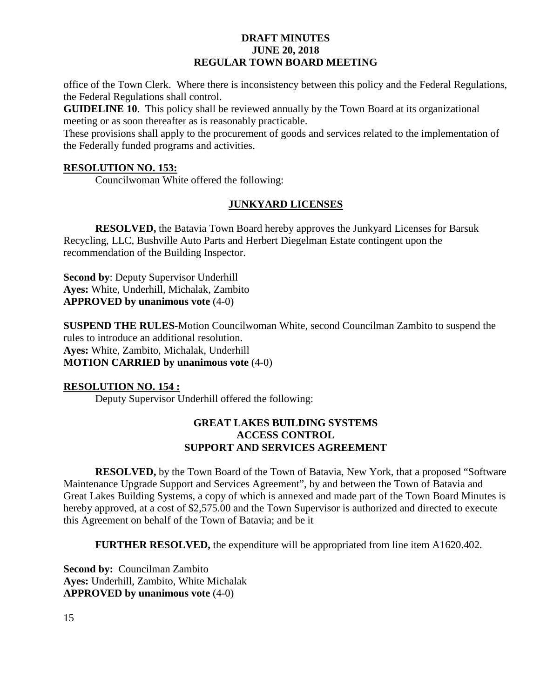office of the Town Clerk. Where there is inconsistency between this policy and the Federal Regulations, the Federal Regulations shall control.

**GUIDELINE 10**. This policy shall be reviewed annually by the Town Board at its organizational meeting or as soon thereafter as is reasonably practicable.

These provisions shall apply to the procurement of goods and services related to the implementation of the Federally funded programs and activities.

# **RESOLUTION NO. 153:**

Councilwoman White offered the following:

# **JUNKYARD LICENSES**

**RESOLVED,** the Batavia Town Board hereby approves the Junkyard Licenses for Barsuk Recycling, LLC, Bushville Auto Parts and Herbert Diegelman Estate contingent upon the recommendation of the Building Inspector.

**Second by**: Deputy Supervisor Underhill **Ayes:** White, Underhill, Michalak, Zambito **APPROVED by unanimous vote** (4-0)

**SUSPEND THE RULES**-Motion Councilwoman White, second Councilman Zambito to suspend the rules to introduce an additional resolution. **Ayes:** White, Zambito, Michalak, Underhill **MOTION CARRIED by unanimous vote** (4-0)

# **RESOLUTION NO. 154 :**

Deputy Supervisor Underhill offered the following:

# **GREAT LAKES BUILDING SYSTEMS ACCESS CONTROL SUPPORT AND SERVICES AGREEMENT**

**RESOLVED,** by the Town Board of the Town of Batavia, New York, that a proposed "Software Maintenance Upgrade Support and Services Agreement", by and between the Town of Batavia and Great Lakes Building Systems, a copy of which is annexed and made part of the Town Board Minutes is hereby approved, at a cost of \$2,575.00 and the Town Supervisor is authorized and directed to execute this Agreement on behalf of the Town of Batavia; and be it

**FURTHER RESOLVED,** the expenditure will be appropriated from line item A1620.402.

**Second by:** Councilman Zambito **Ayes:** Underhill, Zambito, White Michalak **APPROVED by unanimous vote** (4-0)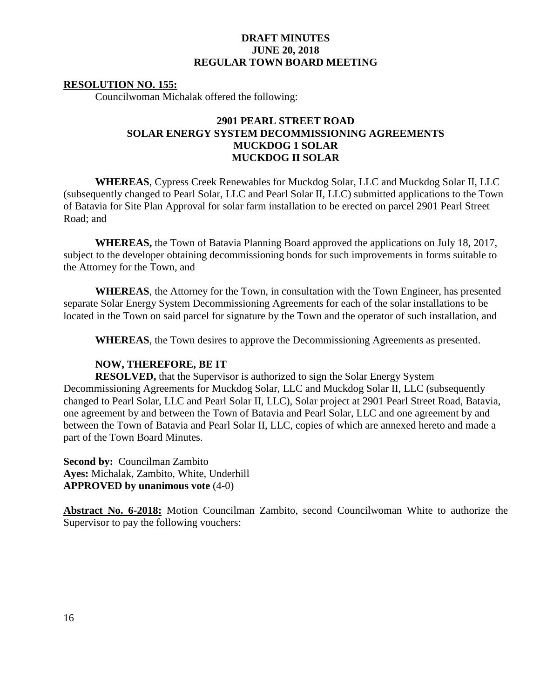#### **RESOLUTION NO. 155:**

Councilwoman Michalak offered the following:

# **2901 PEARL STREET ROAD SOLAR ENERGY SYSTEM DECOMMISSIONING AGREEMENTS MUCKDOG 1 SOLAR MUCKDOG II SOLAR**

**WHEREAS**, Cypress Creek Renewables for Muckdog Solar, LLC and Muckdog Solar II, LLC (subsequently changed to Pearl Solar, LLC and Pearl Solar II, LLC) submitted applications to the Town of Batavia for Site Plan Approval for solar farm installation to be erected on parcel 2901 Pearl Street Road; and

**WHEREAS,** the Town of Batavia Planning Board approved the applications on July 18, 2017, subject to the developer obtaining decommissioning bonds for such improvements in forms suitable to the Attorney for the Town, and

**WHEREAS**, the Attorney for the Town, in consultation with the Town Engineer, has presented separate Solar Energy System Decommissioning Agreements for each of the solar installations to be located in the Town on said parcel for signature by the Town and the operator of such installation, and

**WHEREAS**, the Town desires to approve the Decommissioning Agreements as presented.

#### **NOW, THEREFORE, BE IT**

**RESOLVED,** that the Supervisor is authorized to sign the Solar Energy System Decommissioning Agreements for Muckdog Solar, LLC and Muckdog Solar II, LLC (subsequently changed to Pearl Solar, LLC and Pearl Solar II, LLC), Solar project at 2901 Pearl Street Road, Batavia, one agreement by and between the Town of Batavia and Pearl Solar, LLC and one agreement by and between the Town of Batavia and Pearl Solar II, LLC, copies of which are annexed hereto and made a part of the Town Board Minutes.

**Second by:** Councilman Zambito **Ayes:** Michalak, Zambito, White, Underhill **APPROVED by unanimous vote** (4-0)

**Abstract No. 6-2018:** Motion Councilman Zambito, second Councilwoman White to authorize the Supervisor to pay the following vouchers: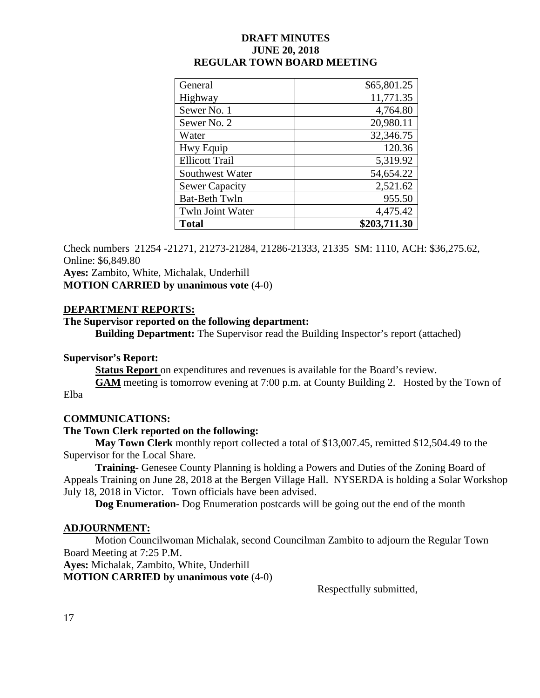| General               | \$65,801.25  |
|-----------------------|--------------|
| Highway               | 11,771.35    |
| Sewer No. 1           | 4,764.80     |
| Sewer No. 2           | 20,980.11    |
| Water                 | 32,346.75    |
| Hwy Equip             | 120.36       |
| <b>Ellicott Trail</b> | 5,319.92     |
| Southwest Water       | 54,654.22    |
| <b>Sewer Capacity</b> | 2,521.62     |
| <b>Bat-Beth Twln</b>  | 955.50       |
| Twln Joint Water      | 4,475.42     |
| <b>Total</b>          | \$203,711.30 |

Check numbers 21254 -21271, 21273-21284, 21286-21333, 21335 SM: 1110, ACH: \$36,275.62, Online: \$6,849.80

**Ayes:** Zambito, White, Michalak, Underhill **MOTION CARRIED by unanimous vote** (4-0)

# **DEPARTMENT REPORTS:**

# **The Supervisor reported on the following department:**

**Building Department:** The Supervisor read the Building Inspector's report (attached)

# **Supervisor's Report:**

**Status Report** on expenditures and revenues is available for the Board's review.

**GAM** meeting is tomorrow evening at 7:00 p.m. at County Building 2. Hosted by the Town of Elba

# **COMMUNICATIONS:**

# **The Town Clerk reported on the following:**

**May Town Clerk** monthly report collected a total of \$13,007.45, remitted \$12,504.49 to the Supervisor for the Local Share.

**Training-** Genesee County Planning is holding a Powers and Duties of the Zoning Board of Appeals Training on June 28, 2018 at the Bergen Village Hall. NYSERDA is holding a Solar Workshop July 18, 2018 in Victor. Town officials have been advised.

**Dog Enumeration-** Dog Enumeration postcards will be going out the end of the month

# **ADJOURNMENT:**

Motion Councilwoman Michalak, second Councilman Zambito to adjourn the Regular Town Board Meeting at 7:25 P.M.

**Ayes:** Michalak, Zambito, White, Underhill

**MOTION CARRIED by unanimous vote** (4-0)

Respectfully submitted,